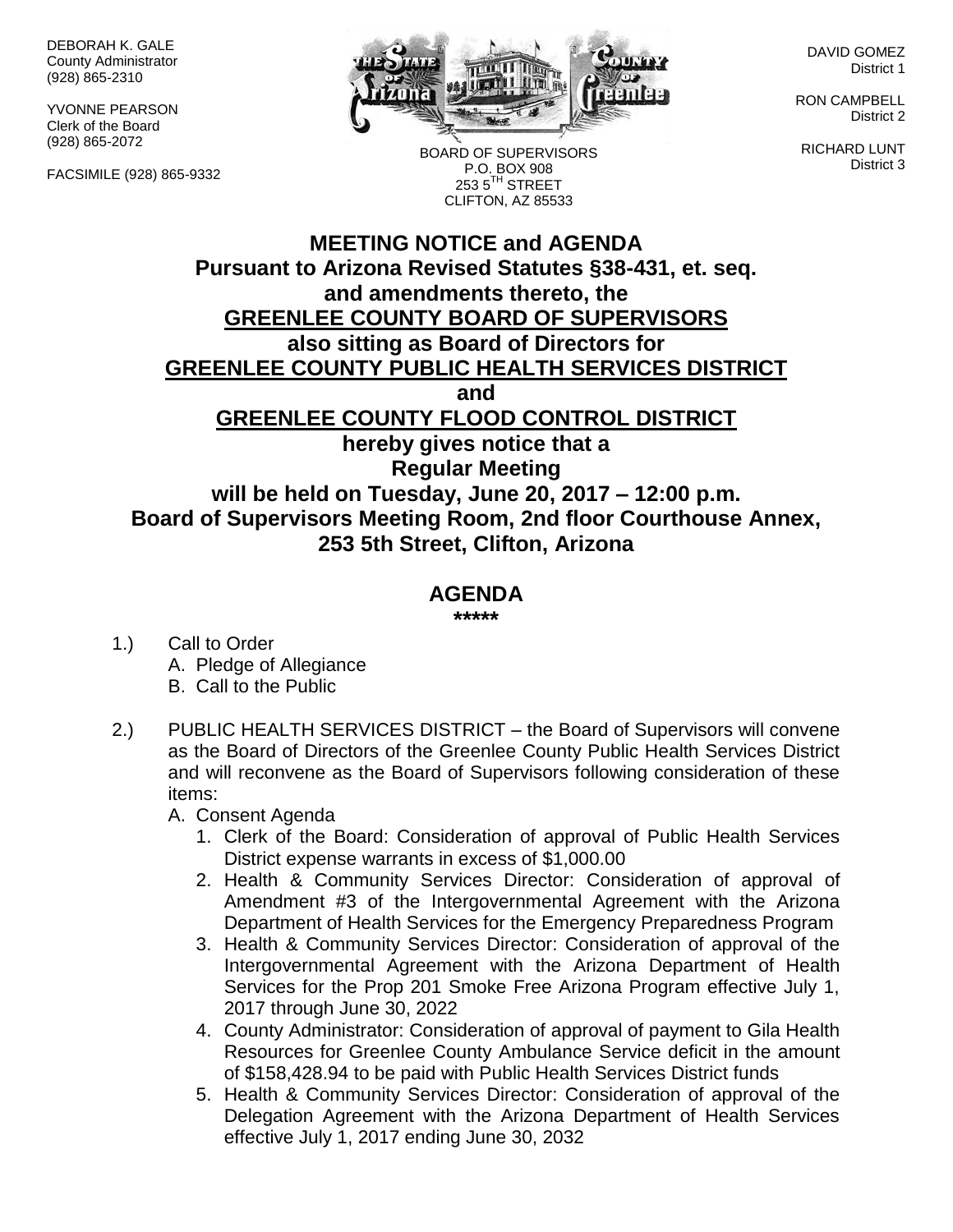DEBORAH K. GALE County Administrator (928) 865-2310

YVONNE PEARSON Clerk of the Board (928) 865-2072

FACSIMILE (928) 865-9332



BOARD OF SUPERVISORS P.O. BOX 908 253 5<sup>TH</sup> STREET CLIFTON, AZ 85533

DAVID GOMEZ District 1

RON CAMPBELL District 2

RICHARD LUNT District 3

## **MEETING NOTICE and AGENDA Pursuant to Arizona Revised Statutes §38-431, et. seq. and amendments thereto, the GREENLEE COUNTY BOARD OF SUPERVISORS also sitting as Board of Directors for GREENLEE COUNTY PUBLIC HEALTH SERVICES DISTRICT and GREENLEE COUNTY FLOOD CONTROL DISTRICT hereby gives notice that a Regular Meeting will be held on Tuesday, June 20, 2017 – 12:00 p.m. Board of Supervisors Meeting Room, 2nd floor Courthouse Annex, 253 5th Street, Clifton, Arizona**

## **AGENDA**

**\*\*\*\*\***

- 1.) Call to Order A. Pledge of Allegiance B. Call to the Public
- 2.) PUBLIC HEALTH SERVICES DISTRICT the Board of Supervisors will convene as the Board of Directors of the Greenlee County Public Health Services District and will reconvene as the Board of Supervisors following consideration of these items:
	- A. Consent Agenda
		- 1. Clerk of the Board: Consideration of approval of Public Health Services District expense warrants in excess of \$1,000.00
		- 2. Health & Community Services Director: Consideration of approval of Amendment #3 of the Intergovernmental Agreement with the Arizona Department of Health Services for the Emergency Preparedness Program
		- 3. Health & Community Services Director: Consideration of approval of the Intergovernmental Agreement with the Arizona Department of Health Services for the Prop 201 Smoke Free Arizona Program effective July 1, 2017 through June 30, 2022
		- 4. County Administrator: Consideration of approval of payment to Gila Health Resources for Greenlee County Ambulance Service deficit in the amount of \$158,428.94 to be paid with Public Health Services District funds
		- 5. Health & Community Services Director: Consideration of approval of the Delegation Agreement with the Arizona Department of Health Services effective July 1, 2017 ending June 30, 2032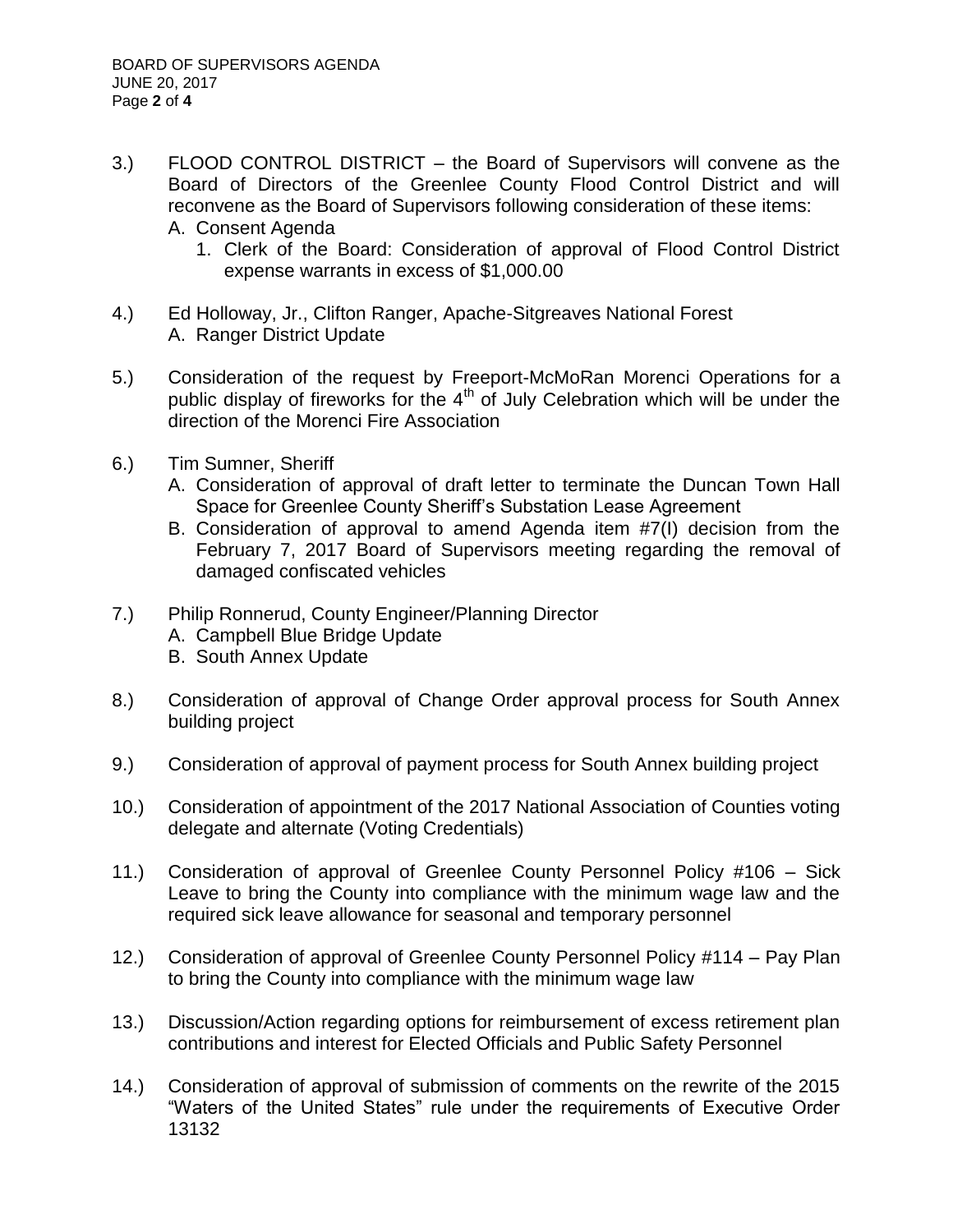- 3.) FLOOD CONTROL DISTRICT the Board of Supervisors will convene as the Board of Directors of the Greenlee County Flood Control District and will reconvene as the Board of Supervisors following consideration of these items:
	- A. Consent Agenda
		- 1. Clerk of the Board: Consideration of approval of Flood Control District expense warrants in excess of \$1,000.00
- 4.) Ed Holloway, Jr., Clifton Ranger, Apache-Sitgreaves National Forest A. Ranger District Update
- 5.) Consideration of the request by Freeport-McMoRan Morenci Operations for a public display of fireworks for the  $4<sup>th</sup>$  of July Celebration which will be under the direction of the Morenci Fire Association
- 6.) Tim Sumner, Sheriff
	- A. Consideration of approval of draft letter to terminate the Duncan Town Hall Space for Greenlee County Sheriff's Substation Lease Agreement
	- B. Consideration of approval to amend Agenda item #7(I) decision from the February 7, 2017 Board of Supervisors meeting regarding the removal of damaged confiscated vehicles
- 7.) Philip Ronnerud, County Engineer/Planning Director
	- A. Campbell Blue Bridge Update
	- B. South Annex Update
- 8.) Consideration of approval of Change Order approval process for South Annex building project
- 9.) Consideration of approval of payment process for South Annex building project
- 10.) Consideration of appointment of the 2017 National Association of Counties voting delegate and alternate (Voting Credentials)
- 11.) Consideration of approval of Greenlee County Personnel Policy #106 Sick Leave to bring the County into compliance with the minimum wage law and the required sick leave allowance for seasonal and temporary personnel
- 12.) Consideration of approval of Greenlee County Personnel Policy #114 Pay Plan to bring the County into compliance with the minimum wage law
- 13.) Discussion/Action regarding options for reimbursement of excess retirement plan contributions and interest for Elected Officials and Public Safety Personnel
- 14.) Consideration of approval of submission of comments on the rewrite of the 2015 "Waters of the United States" rule under the requirements of Executive Order 13132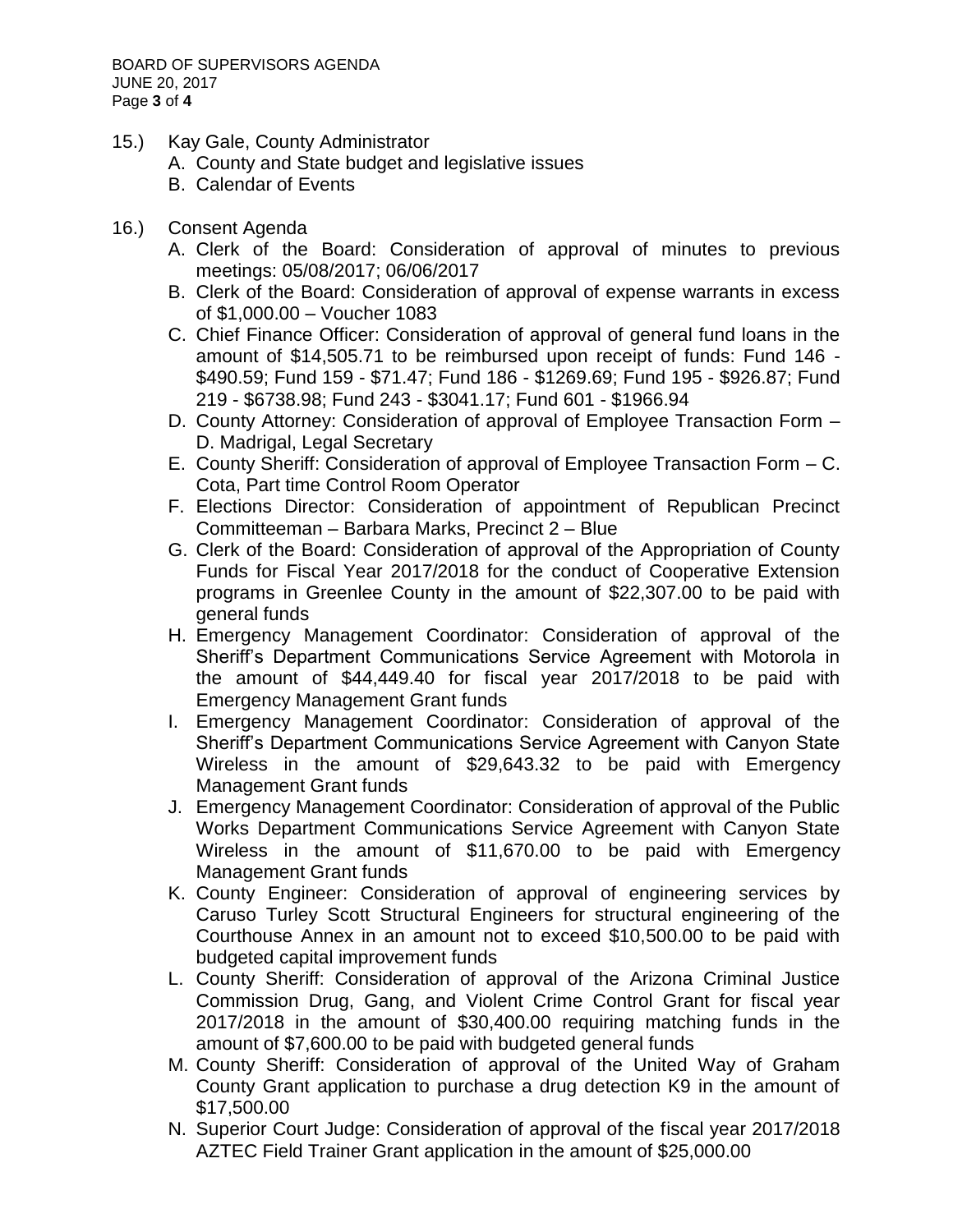- 15.) Kay Gale, County Administrator
	- A. County and State budget and legislative issues
	- B. Calendar of Events
- 16.) Consent Agenda
	- A. Clerk of the Board: Consideration of approval of minutes to previous meetings: 05/08/2017; 06/06/2017
	- B. Clerk of the Board: Consideration of approval of expense warrants in excess of \$1,000.00 – Voucher 1083
	- C. Chief Finance Officer: Consideration of approval of general fund loans in the amount of \$14,505.71 to be reimbursed upon receipt of funds: Fund 146 - \$490.59; Fund 159 - \$71.47; Fund 186 - \$1269.69; Fund 195 - \$926.87; Fund 219 - \$6738.98; Fund 243 - \$3041.17; Fund 601 - \$1966.94
	- D. County Attorney: Consideration of approval of Employee Transaction Form D. Madrigal, Legal Secretary
	- E. County Sheriff: Consideration of approval of Employee Transaction Form C. Cota, Part time Control Room Operator
	- F. Elections Director: Consideration of appointment of Republican Precinct Committeeman – Barbara Marks, Precinct 2 – Blue
	- G. Clerk of the Board: Consideration of approval of the Appropriation of County Funds for Fiscal Year 2017/2018 for the conduct of Cooperative Extension programs in Greenlee County in the amount of \$22,307.00 to be paid with general funds
	- H. Emergency Management Coordinator: Consideration of approval of the Sheriff's Department Communications Service Agreement with Motorola in the amount of \$44,449.40 for fiscal year 2017/2018 to be paid with Emergency Management Grant funds
	- I. Emergency Management Coordinator: Consideration of approval of the Sheriff's Department Communications Service Agreement with Canyon State Wireless in the amount of \$29,643.32 to be paid with Emergency Management Grant funds
	- J. Emergency Management Coordinator: Consideration of approval of the Public Works Department Communications Service Agreement with Canyon State Wireless in the amount of \$11,670.00 to be paid with Emergency Management Grant funds
	- K. County Engineer: Consideration of approval of engineering services by Caruso Turley Scott Structural Engineers for structural engineering of the Courthouse Annex in an amount not to exceed \$10,500.00 to be paid with budgeted capital improvement funds
	- L. County Sheriff: Consideration of approval of the Arizona Criminal Justice Commission Drug, Gang, and Violent Crime Control Grant for fiscal year 2017/2018 in the amount of \$30,400.00 requiring matching funds in the amount of \$7,600.00 to be paid with budgeted general funds
	- M. County Sheriff: Consideration of approval of the United Way of Graham County Grant application to purchase a drug detection K9 in the amount of \$17,500.00
	- N. Superior Court Judge: Consideration of approval of the fiscal year 2017/2018 AZTEC Field Trainer Grant application in the amount of \$25,000.00